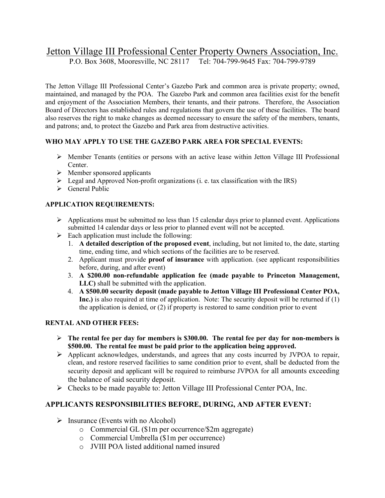# Jetton Village III Professional Center Property Owners Association, Inc.

P.O. Box 3608, Mooresville, NC 28117 Tel: 704-799-9645 Fax: 704-799-9789

The Jetton Village III Professional Center's Gazebo Park and common area is private property; owned, maintained, and managed by the POA. The Gazebo Park and common area facilities exist for the benefit and enjoyment of the Association Members, their tenants, and their patrons. Therefore, the Association Board of Directors has established rules and regulations that govern the use of these facilities. The board also reserves the right to make changes as deemed necessary to ensure the safety of the members, tenants, and patrons; and, to protect the Gazebo and Park area from destructive activities.

## **WHO MAY APPLY TO USE THE GAZEBO PARK AREA FOR SPECIAL EVENTS:**

- $\triangleright$  Member Tenants (entities or persons with an active lease within Jetton Village III Professional Center.
- $\triangleright$  Member sponsored applicants
- $\triangleright$  Legal and Approved Non-profit organizations (i. e. tax classification with the IRS)
- $\triangleright$  General Public

## **APPLICATION REQUIREMENTS:**

- $\triangleright$  Applications must be submitted no less than 15 calendar days prior to planned event. Applications submitted 14 calendar days or less prior to planned event will not be accepted.
- $\triangleright$  Each application must include the following:
	- 1. **A detailed description of the proposed event**, including, but not limited to, the date, starting time, ending time, and which sections of the facilities are to be reserved.
	- 2. Applicant must provide **proof of insurance** with application. (see applicant responsibilities before, during, and after event)
	- 3. **A \$200.00 non-refundable application fee (made payable to Princeton Management, LLC)** shall be submitted with the application.
	- 4. **A \$500.00 security deposit (made payable to Jetton Village III Professional Center POA, Inc.)** is also required at time of application. Note: The security deposit will be returned if (1) the application is denied, or (2) if property is restored to same condition prior to event

#### **RENTAL AND OTHER FEES:**

- **The rental fee per day for members is \$300.00. The rental fee per day for non-members is \$500.00. The rental fee must be paid prior to the application being approved.**
- Applicant acknowledges, understands, and agrees that any costs incurred by JVPOA to repair, clean, and restore reserved facilities to same condition prior to event, shall be deducted from the security deposit and applicant will be required to reimburse JVPOA for all amounts exceeding the balance of said security deposit.
- Checks to be made payable to: Jetton Village III Professional Center POA, Inc.

## **APPLICANTS RESPONSIBILITIES BEFORE, DURING, AND AFTER EVENT:**

- $\triangleright$  Insurance (Events with no Alcohol)
	- o Commercial GL (\$1m per occurrence/\$2m aggregate)
	- o Commercial Umbrella (\$1m per occurrence)
	- o JVIII POA listed additional named insured